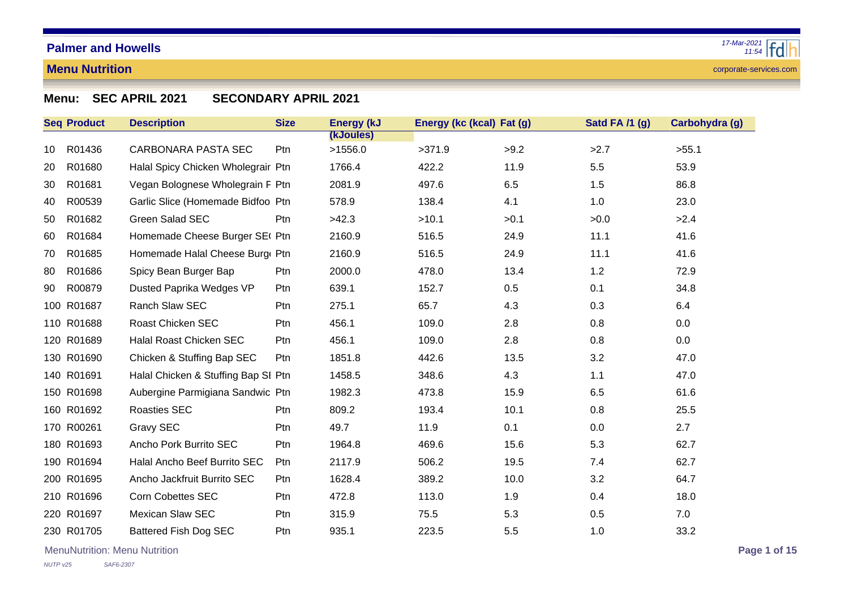### **Menu Nutrition**

corporate-services.com

# **Menu: SEC APRIL 2021 SECONDARY APRIL 2021**

|    | <b>Seq Product</b> | <b>Description</b>                  | <b>Size</b> | <b>Energy (kJ</b> | Energy (kc (kcal) Fat (g) |      | Satd FA /1 (g) | Carbohydra (g) |
|----|--------------------|-------------------------------------|-------------|-------------------|---------------------------|------|----------------|----------------|
|    |                    |                                     |             | (kJoules)         |                           |      |                |                |
| 10 | R01436             | CARBONARA PASTA SEC                 | Ptn         | >1556.0           | >371.9                    | >9.2 | >2.7           | >55.1          |
| 20 | R01680             | Halal Spicy Chicken Wholegrair Ptn  |             | 1766.4            | 422.2                     | 11.9 | 5.5            | 53.9           |
| 30 | R01681             | Vegan Bolognese Wholegrain F Ptn    |             | 2081.9            | 497.6                     | 6.5  | 1.5            | 86.8           |
| 40 | R00539             | Garlic Slice (Homemade Bidfoo Ptn   |             | 578.9             | 138.4                     | 4.1  | 1.0            | 23.0           |
| 50 | R01682             | Green Salad SEC                     | Ptn         | >42.3             | >10.1                     | >0.1 | >0.0           | >2.4           |
| 60 | R01684             | Homemade Cheese Burger SE( Ptn      |             | 2160.9            | 516.5                     | 24.9 | 11.1           | 41.6           |
| 70 | R01685             | Homemade Halal Cheese Burg Ptn      |             | 2160.9            | 516.5                     | 24.9 | 11.1           | 41.6           |
| 80 | R01686             | Spicy Bean Burger Bap               | Ptn         | 2000.0            | 478.0                     | 13.4 | 1.2            | 72.9           |
| 90 | R00879             | Dusted Paprika Wedges VP            | Ptn         | 639.1             | 152.7                     | 0.5  | 0.1            | 34.8           |
|    | 100 R01687         | Ranch Slaw SEC                      | Ptn         | 275.1             | 65.7                      | 4.3  | 0.3            | 6.4            |
|    | 110 R01688         | <b>Roast Chicken SEC</b>            | Ptn         | 456.1             | 109.0                     | 2.8  | 0.8            | 0.0            |
|    | 120 R01689         | Halal Roast Chicken SEC             | Ptn         | 456.1             | 109.0                     | 2.8  | 0.8            | 0.0            |
|    | 130 R01690         | Chicken & Stuffing Bap SEC          | Ptn         | 1851.8            | 442.6                     | 13.5 | 3.2            | 47.0           |
|    | 140 R01691         | Halal Chicken & Stuffing Bap SI Ptn |             | 1458.5            | 348.6                     | 4.3  | 1.1            | 47.0           |
|    | 150 R01698         | Aubergine Parmigiana Sandwic Ptn    |             | 1982.3            | 473.8                     | 15.9 | 6.5            | 61.6           |
|    | 160 R01692         | <b>Roasties SEC</b>                 | Ptn         | 809.2             | 193.4                     | 10.1 | 0.8            | 25.5           |
|    | 170 R00261         | Gravy SEC                           | Ptn         | 49.7              | 11.9                      | 0.1  | 0.0            | 2.7            |
|    | 180 R01693         | Ancho Pork Burrito SEC              | Ptn         | 1964.8            | 469.6                     | 15.6 | 5.3            | 62.7           |
|    | 190 R01694         | Halal Ancho Beef Burrito SEC        | Ptn         | 2117.9            | 506.2                     | 19.5 | 7.4            | 62.7           |
|    | 200 R01695         | Ancho Jackfruit Burrito SEC         | Ptn         | 1628.4            | 389.2                     | 10.0 | 3.2            | 64.7           |
|    | 210 R01696         | <b>Corn Cobettes SEC</b>            | Ptn         | 472.8             | 113.0                     | 1.9  | 0.4            | 18.0           |
|    | 220 R01697         | <b>Mexican Slaw SEC</b>             | Ptn         | 315.9             | 75.5                      | 5.3  | 0.5            | 7.0            |
|    | 230 R01705         | Battered Fish Dog SEC               | Ptn         | 935.1             | 223.5                     | 5.5  | 1.0            | 33.2           |

MenuNutrition: Menu Nutrition **Page 1 of 15**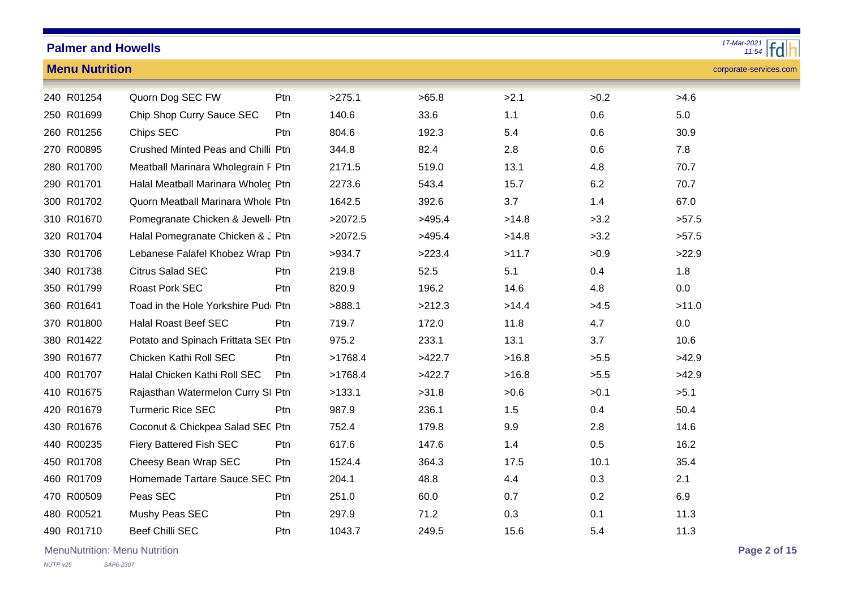| $17-Mar-2021$<br><b>Palmer and Howells</b> |                                     |      |         |        |       |      |                        |  |  |  |
|--------------------------------------------|-------------------------------------|------|---------|--------|-------|------|------------------------|--|--|--|
| <b>Menu Nutrition</b>                      |                                     |      |         |        |       |      | corporate-services.com |  |  |  |
| 240 R01254                                 | Quorn Dog SEC FW                    | Ptn  | >275.1  | >65.8  | >2.1  | >0.2 | >4.6                   |  |  |  |
| 250 R01699                                 | Chip Shop Curry Sauce SEC           | Ptn  | 140.6   | 33.6   | 1.1   | 0.6  | $5.0\,$                |  |  |  |
| 260 R01256                                 | Chips SEC                           | Ptn  | 804.6   | 192.3  | 5.4   | 0.6  | 30.9                   |  |  |  |
| 270 R00895                                 | Crushed Minted Peas and Chilli Ptn  |      | 344.8   | 82.4   | 2.8   | 0.6  | 7.8                    |  |  |  |
| 280 R01700                                 | Meatball Marinara Wholegrain F Ptn  |      | 2171.5  | 519.0  | 13.1  | 4.8  | 70.7                   |  |  |  |
| 290 R01701                                 | Halal Meatball Marinara Wholec Ptn  |      | 2273.6  | 543.4  | 15.7  | 6.2  | 70.7                   |  |  |  |
| 300 R01702                                 | Quorn Meatball Marinara Whole Ptn   |      | 1642.5  | 392.6  | 3.7   | 1.4  | 67.0                   |  |  |  |
| 310 R01670                                 | Pomegranate Chicken & Jewell Ptn    |      | >2072.5 | >495.4 | >14.8 | >3.2 | >57.5                  |  |  |  |
| 320 R01704                                 | Halal Pomegranate Chicken & J Ptn   |      | >2072.5 | >495.4 | >14.8 | >3.2 | >57.5                  |  |  |  |
| 330 R01706                                 | Lebanese Falafel Khobez Wrap Ptn    |      | >934.7  | >223.4 | >11.7 | >0.9 | >22.9                  |  |  |  |
| 340 R01738                                 | <b>Citrus Salad SEC</b>             | Ptn  | 219.8   | 52.5   | 5.1   | 0.4  | 1.8                    |  |  |  |
| 350 R01799                                 | Roast Pork SEC                      | Ptn  | 820.9   | 196.2  | 14.6  | 4.8  | $0.0\,$                |  |  |  |
| 360 R01641                                 | Toad in the Hole Yorkshire Pud Ptn  |      | >888.1  | >212.3 | >14.4 | >4.5 | >11.0                  |  |  |  |
| 370 R01800                                 | <b>Halal Roast Beef SEC</b>         | Ptn. | 719.7   | 172.0  | 11.8  | 4.7  | $0.0\,$                |  |  |  |
| 380 R01422                                 | Potato and Spinach Frittata SE( Ptn |      | 975.2   | 233.1  | 13.1  | 3.7  | 10.6                   |  |  |  |
| 390 R01677                                 | Chicken Kathi Roll SEC              | Ptn  | >1768.4 | >422.7 | >16.8 | >5.5 | >42.9                  |  |  |  |
| 400 R01707                                 | Halal Chicken Kathi Roll SEC        | Ptn  | >1768.4 | >422.7 | >16.8 | >5.5 | >42.9                  |  |  |  |
| 410 R01675                                 | Rajasthan Watermelon Curry SI Ptn   |      | >133.1  | >31.8  | >0.6  | >0.1 | >5.1                   |  |  |  |
| 420 R01679                                 | <b>Turmeric Rice SEC</b>            | Ptn  | 987.9   | 236.1  | 1.5   | 0.4  | 50.4                   |  |  |  |
| 430 R01676                                 | Coconut & Chickpea Salad SEC Ptn    |      | 752.4   | 179.8  | 9.9   | 2.8  | 14.6                   |  |  |  |
| 440 R00235                                 | Fiery Battered Fish SEC             | Ptn  | 617.6   | 147.6  | 1.4   | 0.5  | 16.2                   |  |  |  |
| 450 R01708                                 | Cheesy Bean Wrap SEC                | Ptn  | 1524.4  | 364.3  | 17.5  | 10.1 | 35.4                   |  |  |  |
| 460 R01709                                 | Homemade Tartare Sauce SEC Ptn      |      | 204.1   | 48.8   | 4.4   | 0.3  | 2.1                    |  |  |  |
| 470 R00509                                 | Peas SEC                            | Ptn  | 251.0   | 60.0   | 0.7   | 0.2  | 6.9                    |  |  |  |
| 480 R00521                                 | Mushy Peas SEC                      | Ptn  | 297.9   | 71.2   | 0.3   | 0.1  | 11.3                   |  |  |  |
| 490 R01710                                 | <b>Beef Chilli SEC</b>              | Ptn  | 1043.7  | 249.5  | 15.6  | 5.4  | 11.3                   |  |  |  |

MenuNutrition: Menu Nutrition **Page 2 of 15**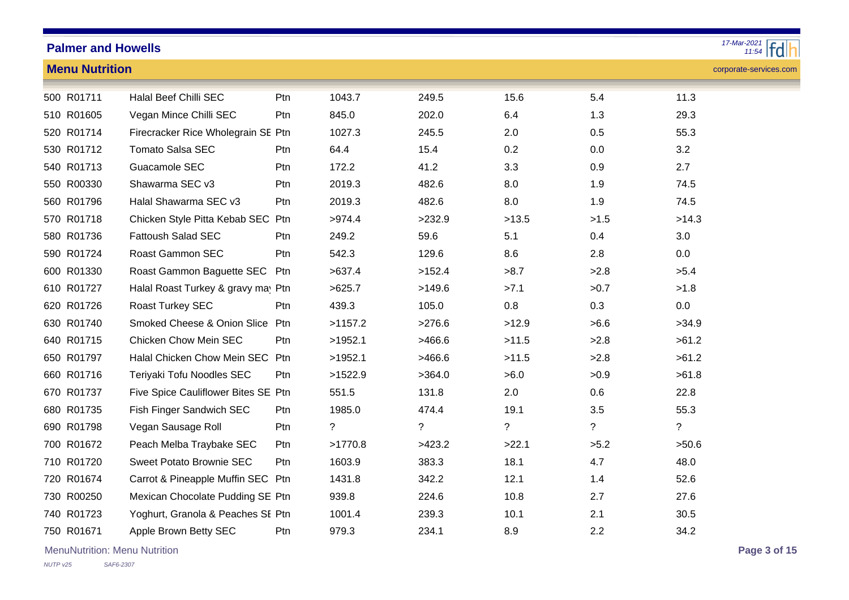| 17-Mar-2021 $\frac{1}{11.54}$<br><b>Palmer and Howells</b> |                                        |     |             |                          |             |                |                        |  |  |  |  |
|------------------------------------------------------------|----------------------------------------|-----|-------------|--------------------------|-------------|----------------|------------------------|--|--|--|--|
| <b>Menu Nutrition</b>                                      |                                        |     |             |                          |             |                | corporate-services.com |  |  |  |  |
| 500 R01711                                                 | Halal Beef Chilli SEC                  | Ptn | 1043.7      | 249.5                    | 15.6        | 5.4            | 11.3                   |  |  |  |  |
| 510 R01605                                                 | Vegan Mince Chilli SEC                 | Ptn | 845.0       | 202.0                    | 6.4         | 1.3            | 29.3                   |  |  |  |  |
| 520 R01714                                                 | Firecracker Rice Wholegrain SE Ptn     |     | 1027.3      | 245.5                    | 2.0         | 0.5            | 55.3                   |  |  |  |  |
| 530 R01712                                                 | <b>Tomato Salsa SEC</b>                | Ptn | 64.4        | 15.4                     | 0.2         | 0.0            | 3.2                    |  |  |  |  |
| 540 R01713                                                 | Guacamole SEC                          | Ptn | 172.2       | 41.2                     | 3.3         | 0.9            | 2.7                    |  |  |  |  |
| 550 R00330                                                 | Shawarma SEC v3                        | Ptn | 2019.3      | 482.6                    | 8.0         | 1.9            | 74.5                   |  |  |  |  |
| 560 R01796                                                 | Halal Shawarma SEC v3                  | Ptn | 2019.3      | 482.6                    | 8.0         | 1.9            | 74.5                   |  |  |  |  |
| 570 R01718                                                 | Chicken Style Pitta Kebab SEC Ptn      |     | >974.4      | >232.9                   | >13.5       | >1.5           | >14.3                  |  |  |  |  |
| 580 R01736                                                 | <b>Fattoush Salad SEC</b>              | Ptn | 249.2       | 59.6                     | 5.1         | 0.4            | 3.0                    |  |  |  |  |
| 590 R01724                                                 | Roast Gammon SEC                       | Ptn | 542.3       | 129.6                    | 8.6         | 2.8            | 0.0                    |  |  |  |  |
| 600 R01330                                                 | Roast Gammon Baguette SEC              | Ptn | >637.4      | >152.4                   | >8.7        | >2.8           | >5.4                   |  |  |  |  |
| 610 R01727                                                 | Halal Roast Turkey & gravy may Ptn     |     | >625.7      | >149.6                   | >7.1        | >0.7           | >1.8                   |  |  |  |  |
| 620 R01726                                                 | Roast Turkey SEC                       | Ptn | 439.3       | 105.0                    | 0.8         | 0.3            | 0.0                    |  |  |  |  |
| 630 R01740                                                 | <b>Smoked Cheese &amp; Onion Slice</b> | Ptn | >1157.2     | >276.6                   | >12.9       | >6.6           | >34.9                  |  |  |  |  |
| 640 R01715                                                 | <b>Chicken Chow Mein SEC</b>           | Ptn | >1952.1     | >466.6                   | >11.5       | >2.8           | >61.2                  |  |  |  |  |
| 650 R01797                                                 | Halal Chicken Chow Mein SEC Ptn        |     | >1952.1     | >466.6                   | >11.5       | >2.8           | >61.2                  |  |  |  |  |
| 660 R01716                                                 | Teriyaki Tofu Noodles SEC              | Ptn | >1522.9     | >364.0                   | >6.0        | >0.9           | >61.8                  |  |  |  |  |
| 670 R01737                                                 | Five Spice Cauliflower Bites SE Ptn    |     | 551.5       | 131.8                    | 2.0         | 0.6            | 22.8                   |  |  |  |  |
| 680 R01735                                                 | Fish Finger Sandwich SEC               | Ptn | 1985.0      | 474.4                    | 19.1        | 3.5            | 55.3                   |  |  |  |  |
| 690 R01798                                                 | Vegan Sausage Roll                     | Ptn | $\tilde{?}$ | $\overline{\mathcal{C}}$ | $\tilde{?}$ | $\overline{?}$ | $\tilde{?}$            |  |  |  |  |
| 700 R01672                                                 | Peach Melba Traybake SEC               | Ptn | >1770.8     | >423.2                   | >22.1       | >5.2           | >50.6                  |  |  |  |  |
| 710 R01720                                                 | Sweet Potato Brownie SEC               | Ptn | 1603.9      | 383.3                    | 18.1        | 4.7            | 48.0                   |  |  |  |  |
| 720 R01674                                                 | Carrot & Pineapple Muffin SEC Ptn      |     | 1431.8      | 342.2                    | 12.1        | 1.4            | 52.6                   |  |  |  |  |
| 730 R00250                                                 | Mexican Chocolate Pudding SE Ptn       |     | 939.8       | 224.6                    | 10.8        | 2.7            | 27.6                   |  |  |  |  |
| 740 R01723                                                 | Yoghurt, Granola & Peaches SE Ptn      |     | 1001.4      | 239.3                    | 10.1        | 2.1            | 30.5                   |  |  |  |  |
| 750 R01671                                                 | Apple Brown Betty SEC                  | Ptn | 979.3       | 234.1                    | 8.9         | 2.2            | 34.2                   |  |  |  |  |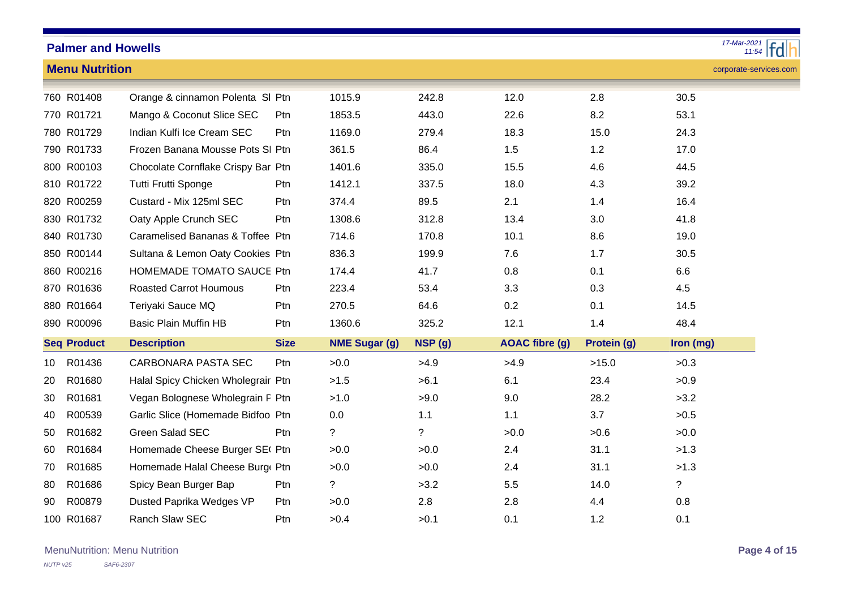|                 | <b>Palmer and Howells</b> |                                    |             |                      |         |                       |             | $17-Mar-2021$          |
|-----------------|---------------------------|------------------------------------|-------------|----------------------|---------|-----------------------|-------------|------------------------|
|                 | <b>Menu Nutrition</b>     |                                    |             |                      |         |                       |             | corporate-services.com |
|                 | 760 R01408                | Orange & cinnamon Polenta SI Ptn   |             | 1015.9               | 242.8   | 12.0                  | 2.8         | 30.5                   |
|                 | 770 R01721                | Mango & Coconut Slice SEC          | Ptn         | 1853.5               | 443.0   | 22.6                  | 8.2         | 53.1                   |
|                 | 780 R01729                | Indian Kulfi Ice Cream SEC         | Ptn         | 1169.0               | 279.4   | 18.3                  | 15.0        | 24.3                   |
|                 | 790 R01733                | Frozen Banana Mousse Pots SI Ptn   |             | 361.5                | 86.4    | 1.5                   | 1.2         | 17.0                   |
|                 | 800 R00103                | Chocolate Cornflake Crispy Bar Ptn |             | 1401.6               | 335.0   | 15.5                  | 4.6         | 44.5                   |
|                 | 810 R01722                | Tutti Frutti Sponge                | Ptn         | 1412.1               | 337.5   | 18.0                  | 4.3         | 39.2                   |
|                 | 820 R00259                | Custard - Mix 125ml SEC            | Ptn         | 374.4                | 89.5    | 2.1                   | 1.4         | 16.4                   |
|                 | 830 R01732                | Oaty Apple Crunch SEC              | Ptn         | 1308.6               | 312.8   | 13.4                  | 3.0         | 41.8                   |
|                 | 840 R01730                | Caramelised Bananas & Toffee Ptn   |             | 714.6                | 170.8   | 10.1                  | 8.6         | 19.0                   |
|                 | 850 R00144                | Sultana & Lemon Oaty Cookies Ptn   |             | 836.3                | 199.9   | 7.6                   | 1.7         | 30.5                   |
|                 | 860 R00216                | HOMEMADE TOMATO SAUCE Ptn          |             | 174.4                | 41.7    | 0.8                   | 0.1         | 6.6                    |
|                 | 870 R01636                | <b>Roasted Carrot Houmous</b>      | Ptn         | 223.4                | 53.4    | 3.3                   | 0.3         | 4.5                    |
|                 | 880 R01664                | Teriyaki Sauce MQ                  | Ptn         | 270.5                | 64.6    | 0.2                   | 0.1         | 14.5                   |
|                 | 890 R00096                | <b>Basic Plain Muffin HB</b>       | Ptn         | 1360.6               | 325.2   | 12.1                  | 1.4         | 48.4                   |
|                 | <b>Seq Product</b>        | <b>Description</b>                 | <b>Size</b> | <b>NME Sugar (g)</b> | NSP (g) | <b>AOAC</b> fibre (g) | Protein (g) | Iron (mg)              |
| 10 <sup>°</sup> | R01436                    | CARBONARA PASTA SEC                | Ptn         | >0.0                 | >4.9    | >4.9                  | >15.0       | >0.3                   |
| 20              | R01680                    | Halal Spicy Chicken Wholegrair Ptn |             | >1.5                 | >6.1    | 6.1                   | 23.4        | >0.9                   |
| 30              | R01681                    | Vegan Bolognese Wholegrain F Ptn   |             | >1.0                 | >9.0    | 9.0                   | 28.2        | >3.2                   |
| 40              | R00539                    | Garlic Slice (Homemade Bidfoo Ptn  |             | 0.0                  | 1.1     | 1.1                   | 3.7         | >0.5                   |
| 50              | R01682                    | Green Salad SEC                    | Ptn         | ?                    | ?       | >0.0                  | >0.6        | >0.0                   |
| 60              | R01684                    | Homemade Cheese Burger SE( Ptn     |             | >0.0                 | >0.0    | 2.4                   | 31.1        | >1.3                   |
| 70              | R01685                    | Homemade Halal Cheese Burg Ptn     |             | >0.0                 | >0.0    | 2.4                   | 31.1        | >1.3                   |
| 80              | R01686                    | Spicy Bean Burger Bap              | Ptn         | ?                    | >3.2    | 5.5                   | 14.0        | $\tilde{?}$            |
| 90              | R00879                    | Dusted Paprika Wedges VP           | Ptn         | >0.0                 | 2.8     | 2.8                   | 4.4         | 0.8                    |
|                 | 100 R01687                | Ranch Slaw SEC                     | Ptn         | >0.4                 | >0.1    | 0.1                   | 1.2         | 0.1                    |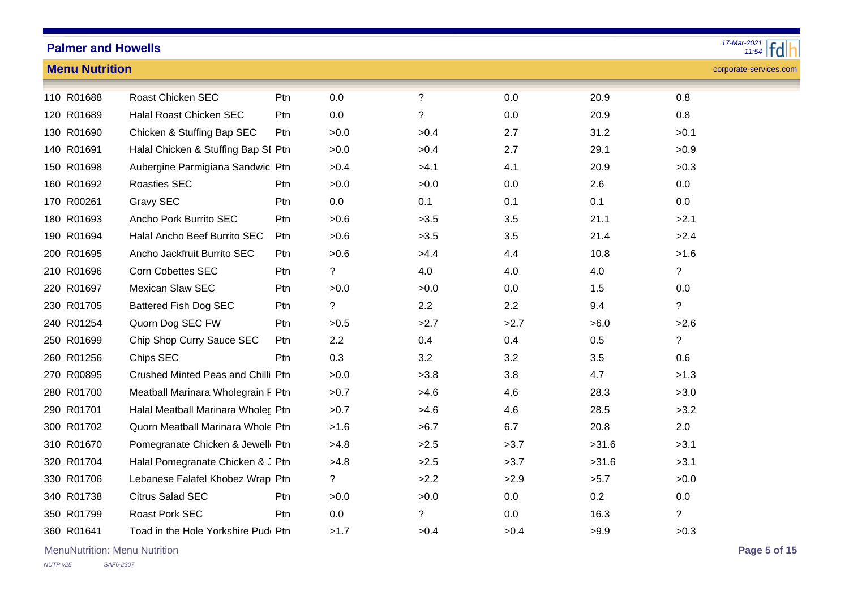**Menu Nutrition**

#### *11:54 17-Mar-2021*

### corporate-services.com

| 110 R01688 | <b>Roast Chicken SEC</b>            | Ptn | 0.0         | $\overline{?}$ | 0.0  | 20.9  | 0.8                      |
|------------|-------------------------------------|-----|-------------|----------------|------|-------|--------------------------|
| 120 R01689 | Halal Roast Chicken SEC             | Ptn | 0.0         | $\tilde{?}$    | 0.0  | 20.9  | 0.8                      |
| 130 R01690 | Chicken & Stuffing Bap SEC          | Ptn | >0.0        | >0.4           | 2.7  | 31.2  | >0.1                     |
| 140 R01691 | Halal Chicken & Stuffing Bap SI Ptn |     | >0.0        | >0.4           | 2.7  | 29.1  | >0.9                     |
| 150 R01698 | Aubergine Parmigiana Sandwic Ptn    |     | >0.4        | >4.1           | 4.1  | 20.9  | >0.3                     |
| 160 R01692 | <b>Roasties SEC</b>                 | Ptn | >0.0        | >0.0           | 0.0  | 2.6   | 0.0                      |
| 170 R00261 | Gravy SEC                           | Ptn | 0.0         | 0.1            | 0.1  | 0.1   | 0.0                      |
| 180 R01693 | Ancho Pork Burrito SEC              | Ptn | >0.6        | >3.5           | 3.5  | 21.1  | >2.1                     |
| 190 R01694 | Halal Ancho Beef Burrito SEC        | Ptn | >0.6        | >3.5           | 3.5  | 21.4  | >2.4                     |
| 200 R01695 | Ancho Jackfruit Burrito SEC         | Ptn | >0.6        | >4.4           | 4.4  | 10.8  | >1.6                     |
| 210 R01696 | <b>Corn Cobettes SEC</b>            | Ptn | ?           | 4.0            | 4.0  | 4.0   | $\tilde{?}$              |
| 220 R01697 | <b>Mexican Slaw SEC</b>             | Ptn | >0.0        | >0.0           | 0.0  | 1.5   | 0.0                      |
| 230 R01705 | <b>Battered Fish Dog SEC</b>        | Ptn | $\tilde{?}$ | 2.2            | 2.2  | 9.4   | $\overline{\phantom{a}}$ |
| 240 R01254 | Quorn Dog SEC FW                    | Ptn | >0.5        | >2.7           | >2.7 | >6.0  | >2.6                     |
| 250 R01699 | Chip Shop Curry Sauce SEC           | Ptn | 2.2         | 0.4            | 0.4  | 0.5   | $\tilde{?}$              |
| 260 R01256 | Chips SEC                           | Ptn | 0.3         | 3.2            | 3.2  | 3.5   | 0.6                      |
| 270 R00895 | Crushed Minted Peas and Chilli Ptn  |     | >0.0        | >3.8           | 3.8  | 4.7   | >1.3                     |
| 280 R01700 | Meatball Marinara Wholegrain F Ptn  |     | >0.7        | >4.6           | 4.6  | 28.3  | >3.0                     |
| 290 R01701 | Halal Meatball Marinara Wholec Ptn  |     | >0.7        | >4.6           | 4.6  | 28.5  | >3.2                     |
| 300 R01702 | Quorn Meatball Marinara Whole Ptn   |     | >1.6        | >6.7           | 6.7  | 20.8  | 2.0                      |
| 310 R01670 | Pomegranate Chicken & Jewell Ptn    |     | >4.8        | >2.5           | >3.7 | >31.6 | >3.1                     |
| 320 R01704 | Halal Pomegranate Chicken & J Ptn   |     | >4.8        | >2.5           | >3.7 | >31.6 | >3.1                     |
| 330 R01706 | Lebanese Falafel Khobez Wrap Ptn    |     | ?           | >2.2           | >2.9 | >5.7  | >0.0                     |
| 340 R01738 | <b>Citrus Salad SEC</b>             | Ptn | >0.0        | >0.0           | 0.0  | 0.2   | 0.0                      |
| 350 R01799 | Roast Pork SEC                      | Ptn | 0.0         | $\tilde{?}$    | 0.0  | 16.3  | $\overline{\phantom{a}}$ |
| 360 R01641 | Toad in the Hole Yorkshire Pud( Ptn |     | >1.7        | >0.4           | >0.4 | >9.9  | >0.3                     |

MenuNutrition: Menu Nutrition **Page 5 of 15**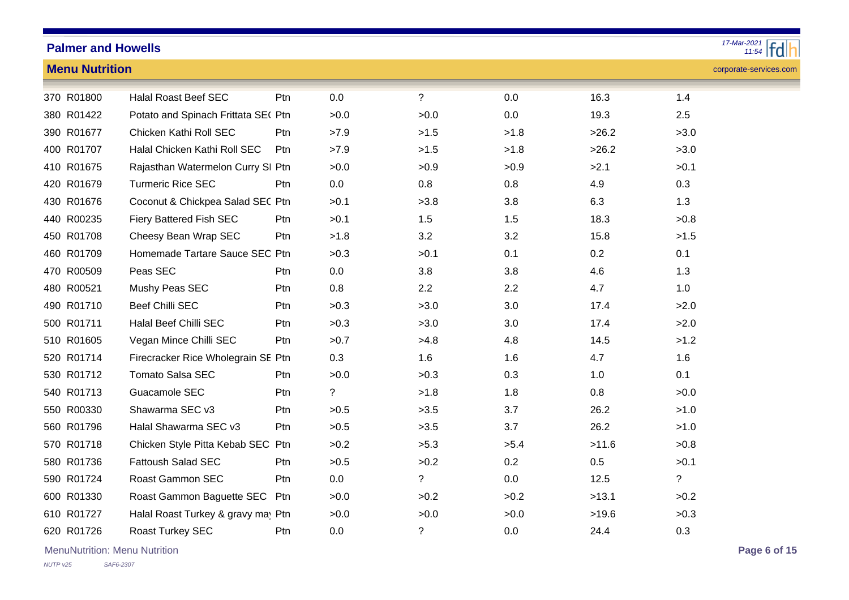| 17-Mar-2021<br>$\frac{1}{11:54}$ fd<br><b>Palmer and Howells</b> |                       |                                     |                 |                |                |      |       |                        |  |  |
|------------------------------------------------------------------|-----------------------|-------------------------------------|-----------------|----------------|----------------|------|-------|------------------------|--|--|
|                                                                  | <b>Menu Nutrition</b> |                                     |                 |                |                |      |       | corporate-services.com |  |  |
|                                                                  | 370 R01800            | <b>Halal Roast Beef SEC</b>         | Ptn             | 0.0            | $\overline{?}$ | 0.0  | 16.3  | 1.4                    |  |  |
|                                                                  | 380 R01422            | Potato and Spinach Frittata SE( Ptn |                 | >0.0           | >0.0           | 0.0  | 19.3  | 2.5                    |  |  |
|                                                                  | 390 R01677            | Chicken Kathi Roll SEC              | Ptn             | >7.9           | >1.5           | >1.8 | >26.2 | >3.0                   |  |  |
|                                                                  | 400 R01707            | Halal Chicken Kathi Roll SEC        | Ptn             | >7.9           | >1.5           | >1.8 | >26.2 | >3.0                   |  |  |
|                                                                  | 410 R01675            | Rajasthan Watermelon Curry SI Ptn   |                 | >0.0           | >0.9           | >0.9 | >2.1  | >0.1                   |  |  |
|                                                                  | 420 R01679            | <b>Turmeric Rice SEC</b>            | Ptn.            | 0.0            | 0.8            | 0.8  | 4.9   | 0.3                    |  |  |
|                                                                  | 430 R01676            | Coconut & Chickpea Salad SEC Ptn    |                 | >0.1           | >3.8           | 3.8  | 6.3   | 1.3                    |  |  |
|                                                                  | 440 R00235            | Fiery Battered Fish SEC             | Ptn             | >0.1           | 1.5            | 1.5  | 18.3  | >0.8                   |  |  |
|                                                                  | 450 R01708            | Cheesy Bean Wrap SEC                | Ptn             | >1.8           | 3.2            | 3.2  | 15.8  | >1.5                   |  |  |
|                                                                  | 460 R01709            | Homemade Tartare Sauce SEC Ptn      |                 | >0.3           | >0.1           | 0.1  | 0.2   | 0.1                    |  |  |
|                                                                  | 470 R00509            | Peas SEC                            | P <sub>tn</sub> | 0.0            | 3.8            | 3.8  | 4.6   | 1.3                    |  |  |
|                                                                  | 480 R00521            | Mushy Peas SEC                      | Ptn             | 0.8            | 2.2            | 2.2  | 4.7   | 1.0                    |  |  |
|                                                                  | 490 R01710            | <b>Beef Chilli SEC</b>              | Ptn             | >0.3           | >3.0           | 3.0  | 17.4  | >2.0                   |  |  |
|                                                                  | 500 R01711            | Halal Beef Chilli SEC               | Ptn             | >0.3           | >3.0           | 3.0  | 17.4  | >2.0                   |  |  |
|                                                                  | 510 R01605            | Vegan Mince Chilli SEC              | Ptn             | >0.7           | >4.8           | 4.8  | 14.5  | >1.2                   |  |  |
|                                                                  | 520 R01714            | Firecracker Rice Wholegrain SE Ptn  |                 | 0.3            | 1.6            | 1.6  | 4.7   | 1.6                    |  |  |
|                                                                  | 530 R01712            | <b>Tomato Salsa SEC</b>             | Ptn             | >0.0           | >0.3           | 0.3  | 1.0   | 0.1                    |  |  |
|                                                                  | 540 R01713            | Guacamole SEC                       | Ptn             | $\overline{?}$ | >1.8           | 1.8  | 0.8   | >0.0                   |  |  |
|                                                                  | 550 R00330            | Shawarma SEC v3                     | Ptn             | >0.5           | >3.5           | 3.7  | 26.2  | >1.0                   |  |  |
|                                                                  | 560 R01796            | Halal Shawarma SEC v3               | Ptn             | >0.5           | >3.5           | 3.7  | 26.2  | >1.0                   |  |  |
|                                                                  | 570 R01718            | Chicken Style Pitta Kebab SEC Ptn   |                 | >0.2           | >5.3           | >5.4 | >11.6 | >0.8                   |  |  |
|                                                                  | 580 R01736            | <b>Fattoush Salad SEC</b>           | Ptn             | >0.5           | >0.2           | 0.2  | 0.5   | >0.1                   |  |  |
|                                                                  | 590 R01724            | <b>Roast Gammon SEC</b>             | Ptn             | 0.0            | $\tilde{?}$    | 0.0  | 12.5  | $\overline{?}$         |  |  |
|                                                                  | 600 R01330            | Roast Gammon Baguette SEC Ptn       |                 | >0.0           | >0.2           | >0.2 | >13.1 | >0.2                   |  |  |
|                                                                  | 610 R01727            | Halal Roast Turkey & gravy may Ptn  |                 | >0.0           | >0.0           | >0.0 | >19.6 | >0.3                   |  |  |
|                                                                  | 620 R01726            | Roast Turkey SEC                    | Ptn             | 0.0            | ?              | 0.0  | 24.4  | 0.3                    |  |  |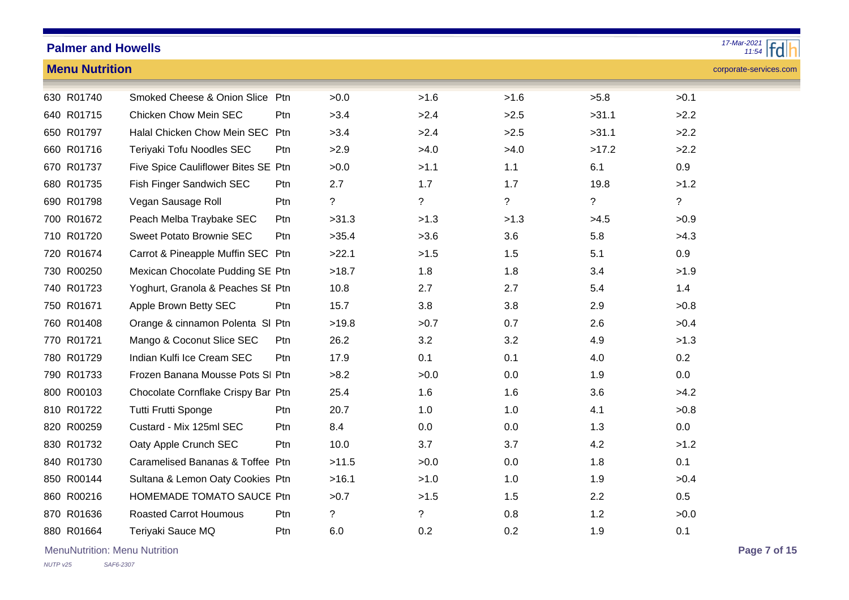| 17-Mar-2021<br>$\frac{12021}{11.54}$ Fd<br><b>Palmer and Howells</b> |                                     |            |                |             |      |       |                        |  |  |  |  |
|----------------------------------------------------------------------|-------------------------------------|------------|----------------|-------------|------|-------|------------------------|--|--|--|--|
| <b>Menu Nutrition</b>                                                |                                     |            |                |             |      |       | corporate-services.com |  |  |  |  |
| 630 R01740                                                           | Smoked Cheese & Onion Slice Ptn     |            | >0.0           | >1.6        | >1.6 | >5.8  | >0.1                   |  |  |  |  |
| 640 R01715                                                           | <b>Chicken Chow Mein SEC</b>        | Ptn        | >3.4           | >2.4        | >2.5 | >31.1 | >2.2                   |  |  |  |  |
| 650 R01797                                                           | Halal Chicken Chow Mein SEC Ptn     |            | >3.4           | >2.4        | >2.5 | >31.1 | >2.2                   |  |  |  |  |
| 660 R01716                                                           | Teriyaki Tofu Noodles SEC           | Ptn        | >2.9           | >4.0        | >4.0 | >17.2 | >2.2                   |  |  |  |  |
| 670 R01737                                                           | Five Spice Cauliflower Bites SE Ptn |            | >0.0           | >1.1        | 1.1  | 6.1   | 0.9                    |  |  |  |  |
| 680 R01735                                                           | Fish Finger Sandwich SEC            | Ptn.       | 2.7            | 1.7         | 1.7  | 19.8  | >1.2                   |  |  |  |  |
| 690 R01798                                                           | Vegan Sausage Roll                  | Ptn        | ?              | ?           | ?    | ?     | $\overline{?}$         |  |  |  |  |
| 700 R01672                                                           | Peach Melba Traybake SEC            | Ptn        | >31.3          | >1.3        | >1.3 | >4.5  | >0.9                   |  |  |  |  |
| 710 R01720                                                           | <b>Sweet Potato Brownie SEC</b>     | Ptn        | >35.4          | >3.6        | 3.6  | 5.8   | >4.3                   |  |  |  |  |
| 720 R01674                                                           | Carrot & Pineapple Muffin SEC Ptn   |            | >22.1          | >1.5        | 1.5  | 5.1   | 0.9                    |  |  |  |  |
| 730 R00250                                                           | Mexican Chocolate Pudding SE Ptn    |            | >18.7          | 1.8         | 1.8  | 3.4   | >1.9                   |  |  |  |  |
| 740 R01723                                                           | Yoghurt, Granola & Peaches SE Ptn   |            | 10.8           | 2.7         | 2.7  | 5.4   | 1.4                    |  |  |  |  |
| 750 R01671                                                           | Apple Brown Betty SEC               | Ptn        | 15.7           | 3.8         | 3.8  | 2.9   | >0.8                   |  |  |  |  |
| 760 R01408                                                           | Orange & cinnamon Polenta SI Ptn    |            | >19.8          | >0.7        | 0.7  | 2.6   | >0.4                   |  |  |  |  |
| 770 R01721                                                           | Mango & Coconut Slice SEC           | <b>Ptn</b> | 26.2           | 3.2         | 3.2  | 4.9   | >1.3                   |  |  |  |  |
| 780 R01729                                                           | Indian Kulfi Ice Cream SEC          | Ptn        | 17.9           | 0.1         | 0.1  | 4.0   | 0.2                    |  |  |  |  |
| 790 R01733                                                           | Frozen Banana Mousse Pots SI Ptn    |            | >8.2           | >0.0        | 0.0  | 1.9   | 0.0                    |  |  |  |  |
| 800 R00103                                                           | Chocolate Cornflake Crispy Bar Ptn  |            | 25.4           | 1.6         | 1.6  | 3.6   | >4.2                   |  |  |  |  |
| 810 R01722                                                           | Tutti Frutti Sponge                 | Ptn        | 20.7           | 1.0         | 1.0  | 4.1   | >0.8                   |  |  |  |  |
| 820 R00259                                                           | Custard - Mix 125ml SEC             | Ptn.       | 8.4            | $0.0\,$     | 0.0  | 1.3   | $0.0\,$                |  |  |  |  |
| 830 R01732                                                           | Oaty Apple Crunch SEC               | Ptn        | 10.0           | 3.7         | 3.7  | 4.2   | >1.2                   |  |  |  |  |
| 840 R01730                                                           | Caramelised Bananas & Toffee Ptn    |            | >11.5          | >0.0        | 0.0  | 1.8   | 0.1                    |  |  |  |  |
| 850 R00144                                                           | Sultana & Lemon Oaty Cookies Ptn    |            | >16.1          | >1.0        | 1.0  | 1.9   | >0.4                   |  |  |  |  |
| 860 R00216                                                           | HOMEMADE TOMATO SAUCE Ptn           |            | >0.7           | >1.5        | 1.5  | 2.2   | 0.5                    |  |  |  |  |
| 870 R01636                                                           | <b>Roasted Carrot Houmous</b>       | Ptn.       | $\overline{?}$ | $\tilde{?}$ | 0.8  | 1.2   | >0.0                   |  |  |  |  |
| 880 R01664                                                           | Teriyaki Sauce MQ                   | Ptn        | 6.0            | 0.2         | 0.2  | 1.9   | 0.1                    |  |  |  |  |

MenuNutrition: Menu Nutrition **Page 7 of 15**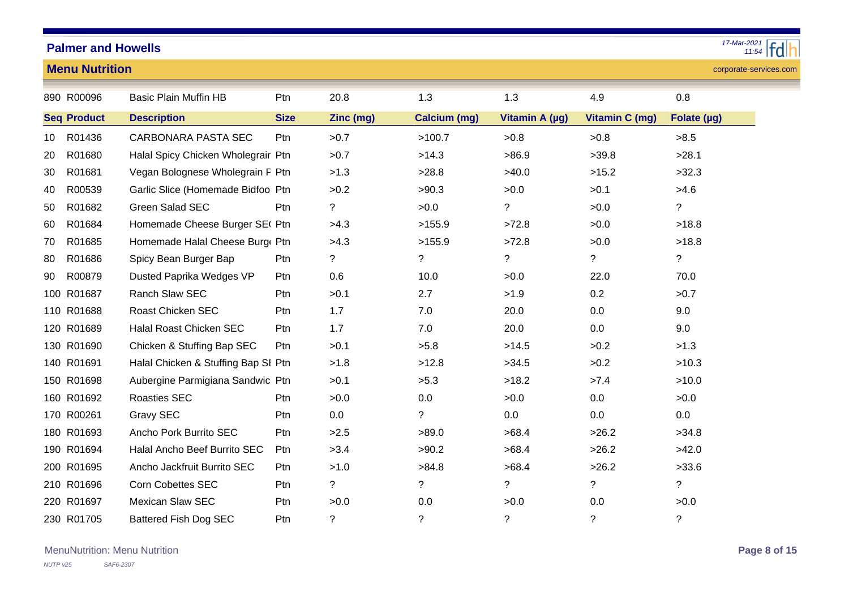*11:54 17-Mar-2021*

#### corporate-services.com

| <b>Menu Nutrition</b> |  |  |
|-----------------------|--|--|
|                       |  |  |
|                       |  |  |

|    | 890 R00096         | <b>Basic Plain Muffin HB</b>        | Ptn         | 20.8        | 1.3                      | 1.3            | 4.9                   | 0.8            |
|----|--------------------|-------------------------------------|-------------|-------------|--------------------------|----------------|-----------------------|----------------|
|    |                    |                                     |             |             |                          |                |                       |                |
|    | <b>Seq Product</b> | <b>Description</b>                  | <b>Size</b> | Zinc (mg)   | <b>Calcium (mg)</b>      | Vitamin A (µg) | <b>Vitamin C (mg)</b> | Folate (µg)    |
| 10 | R01436             | <b>CARBONARA PASTA SEC</b>          | Ptn         | >0.7        | >100.7                   | >0.8           | >0.8                  | >8.5           |
| 20 | R01680             | Halal Spicy Chicken Wholegrair Ptn  |             | >0.7        | >14.3                    | >86.9          | >39.8                 | >28.1          |
| 30 | R01681             | Vegan Bolognese Wholegrain F Ptn    |             | >1.3        | >28.8                    | >40.0          | >15.2                 | >32.3          |
| 40 | R00539             | Garlic Slice (Homemade Bidfoo Ptn   |             | >0.2        | >90.3                    | >0.0           | >0.1                  | >4.6           |
| 50 | R01682             | Green Salad SEC                     | Ptn         | $\tilde{?}$ | >0.0                     | $\tilde{?}$    | >0.0                  | $\overline{?}$ |
| 60 | R01684             | Homemade Cheese Burger SE( Ptn      |             | >4.3        | >155.9                   | >72.8          | >0.0                  | >18.8          |
| 70 | R01685             | Homemade Halal Cheese Burg Ptn      |             | >4.3        | >155.9                   | >72.8          | >0.0                  | >18.8          |
| 80 | R01686             | Spicy Bean Burger Bap               | Ptn         | $\tilde{?}$ | $\ddot{?}$               | $\tilde{?}$    | $\overline{?}$        | $\tilde{?}$    |
| 90 | R00879             | Dusted Paprika Wedges VP            | Ptn         | 0.6         | 10.0                     | >0.0           | 22.0                  | 70.0           |
|    | 100 R01687         | Ranch Slaw SEC                      | Ptn         | >0.1        | 2.7                      | >1.9           | 0.2                   | >0.7           |
|    | 110 R01688         | Roast Chicken SEC                   | Ptn         | 1.7         | 7.0                      | 20.0           | 0.0                   | 9.0            |
|    | 120 R01689         | Halal Roast Chicken SEC             | Ptn         | 1.7         | 7.0                      | 20.0           | 0.0                   | 9.0            |
|    | 130 R01690         | Chicken & Stuffing Bap SEC          | Ptn         | >0.1        | >5.8                     | >14.5          | >0.2                  | >1.3           |
|    | 140 R01691         | Halal Chicken & Stuffing Bap SI Ptn |             | >1.8        | >12.8                    | >34.5          | >0.2                  | >10.3          |
|    | 150 R01698         | Aubergine Parmigiana Sandwic Ptn    |             | >0.1        | >5.3                     | >18.2          | >7.4                  | >10.0          |
|    | 160 R01692         | <b>Roasties SEC</b>                 | Ptn         | >0.0        | 0.0                      | >0.0           | 0.0                   | >0.0           |
|    | 170 R00261         | Gravy SEC                           | Ptn         | 0.0         | $\tilde{?}$              | 0.0            | 0.0                   | 0.0            |
|    | 180 R01693         | Ancho Pork Burrito SEC              | Ptn         | >2.5        | >89.0                    | >68.4          | >26.2                 | >34.8          |
|    | 190 R01694         | Halal Ancho Beef Burrito SEC        | Ptn         | >3.4        | >90.2                    | >68.4          | >26.2                 | >42.0          |
|    | 200 R01695         | Ancho Jackfruit Burrito SEC         | Ptn         | >1.0        | >84.8                    | >68.4          | >26.2                 | >33.6          |
|    | 210 R01696         | <b>Corn Cobettes SEC</b>            | Ptn         | $\tilde{?}$ | $\overline{\mathcal{E}}$ | $\tilde{?}$    | $\overline{?}$        | $\overline{?}$ |
|    | 220 R01697         | Mexican Slaw SEC                    | Ptn         | >0.0        | 0.0                      | >0.0           | 0.0                   | >0.0           |
|    | 230 R01705         | <b>Battered Fish Dog SEC</b>        | Ptn         | ?           | ?                        | $\tilde{?}$    | $\tilde{?}$           | ?              |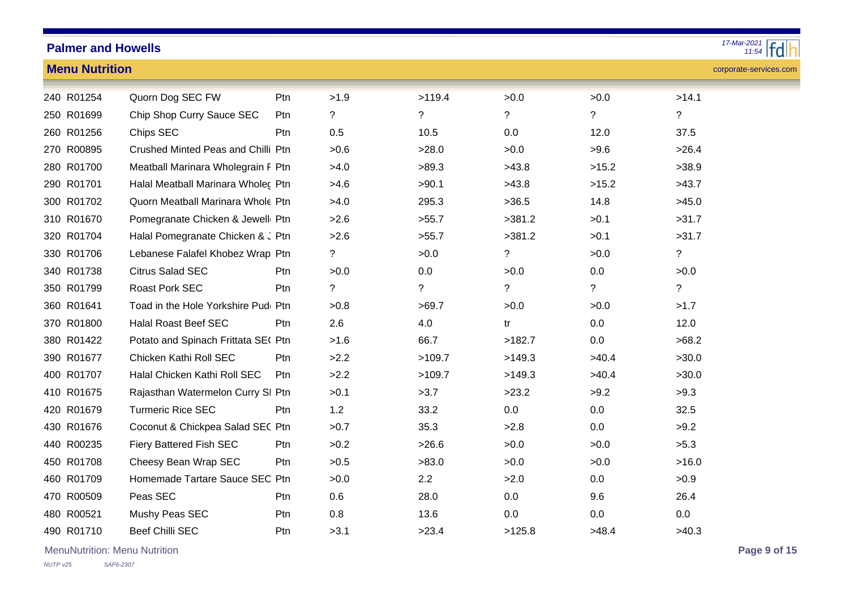#### *11:54 17-Mar-2021*

**Menu Nutrition**

| corporate-services.com |
|------------------------|
|                        |

| 240 R01254 | Quorn Dog SEC FW                    | Ptn        | >1.9        | >119.4         | >0.0        | >0.0        | >14.1 |
|------------|-------------------------------------|------------|-------------|----------------|-------------|-------------|-------|
| 250 R01699 | Chip Shop Curry Sauce SEC           | <b>Ptn</b> | $\tilde{?}$ | $\tilde{?}$    | $\tilde{?}$ | ?           | ?     |
| 260 R01256 | Chips SEC                           | Ptn        | 0.5         | 10.5           | 0.0         | 12.0        | 37.5  |
| 270 R00895 | Crushed Minted Peas and Chilli Ptn  |            | >0.6        | >28.0          | >0.0        | >9.6        | >26.4 |
| 280 R01700 | Meatball Marinara Wholegrain F Ptn  |            | >4.0        | >89.3          | >43.8       | >15.2       | >38.9 |
| 290 R01701 | Halal Meatball Marinara Wholec Ptn  |            | >4.6        | >90.1          | >43.8       | >15.2       | >43.7 |
| 300 R01702 | Quorn Meatball Marinara Whole Ptn   |            | >4.0        | 295.3          | >36.5       | 14.8        | >45.0 |
| 310 R01670 | Pomegranate Chicken & Jewell Ptn    |            | >2.6        | >55.7          | >381.2      | >0.1        | >31.7 |
| 320 R01704 | Halal Pomegranate Chicken & J Ptn   |            | >2.6        | >55.7          | >381.2      | >0.1        | >31.7 |
| 330 R01706 | Lebanese Falafel Khobez Wrap Ptn    |            | ?           | >0.0           | $\tilde{?}$ | >0.0        | ?     |
| 340 R01738 | <b>Citrus Salad SEC</b>             | Ptn        | >0.0        | 0.0            | >0.0        | 0.0         | >0.0  |
| 350 R01799 | <b>Roast Pork SEC</b>               | Ptn        | ?           | $\overline{?}$ | $\tilde{?}$ | $\tilde{?}$ | ?     |
| 360 R01641 | Toad in the Hole Yorkshire Pudi Ptn |            | >0.8        | >69.7          | >0.0        | >0.0        | >1.7  |
| 370 R01800 | <b>Halal Roast Beef SEC</b>         | Ptn        | 2.6         | 4.0            | tr          | 0.0         | 12.0  |
| 380 R01422 | Potato and Spinach Frittata SE( Ptn |            | >1.6        | 66.7           | >182.7      | 0.0         | >68.2 |
| 390 R01677 | Chicken Kathi Roll SEC              | Ptn        | >2.2        | >109.7         | >149.3      | >40.4       | >30.0 |
| 400 R01707 | Halal Chicken Kathi Roll SEC        | Ptn        | >2.2        | >109.7         | >149.3      | >40.4       | >30.0 |
| 410 R01675 | Rajasthan Watermelon Curry SI Ptn   |            | >0.1        | >3.7           | >23.2       | >9.2        | >9.3  |
| 420 R01679 | <b>Turmeric Rice SEC</b>            | Ptn        | 1.2         | 33.2           | 0.0         | 0.0         | 32.5  |
| 430 R01676 | Coconut & Chickpea Salad SEC Ptn    |            | >0.7        | 35.3           | >2.8        | 0.0         | >9.2  |
| 440 R00235 | Fiery Battered Fish SEC             | Ptn        | >0.2        | >26.6          | >0.0        | >0.0        | >5.3  |
| 450 R01708 | Cheesy Bean Wrap SEC                | Ptn        | >0.5        | >83.0          | >0.0        | >0.0        | >16.0 |
| 460 R01709 | Homemade Tartare Sauce SEC Ptn      |            | >0.0        | 2.2            | >2.0        | 0.0         | >0.9  |
| 470 R00509 | Peas SEC                            | Ptn        | 0.6         | 28.0           | 0.0         | 9.6         | 26.4  |
| 480 R00521 | Mushy Peas SEC                      | Ptn        | 0.8         | 13.6           | 0.0         | 0.0         | 0.0   |
| 490 R01710 | <b>Beef Chilli SEC</b>              | Ptn        | >3.1        | >23.4          | >125.8      | >48.4       | >40.3 |

MenuNutrition: Menu Nutrition **Page 9 of 15**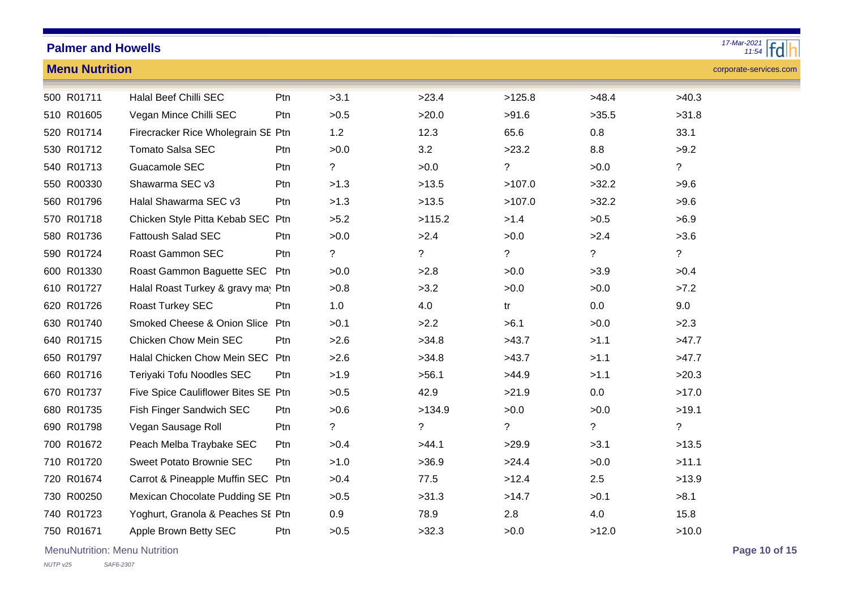| $17-Mar-2021$<br><b>Palmer and Howells</b> |                                        |     |             |             |             |             |                          |  |  |  |  |
|--------------------------------------------|----------------------------------------|-----|-------------|-------------|-------------|-------------|--------------------------|--|--|--|--|
| <b>Menu Nutrition</b>                      |                                        |     |             |             |             |             | corporate-services.com   |  |  |  |  |
| 500 R01711                                 | Halal Beef Chilli SEC                  | Ptn | >3.1        | >23.4       | >125.8      | >48.4       | >40.3                    |  |  |  |  |
| 510 R01605                                 | Vegan Mince Chilli SEC                 | Ptn | >0.5        | >20.0       | >91.6       | >35.5       | >31.8                    |  |  |  |  |
| 520 R01714                                 | Firecracker Rice Wholegrain SE Ptn     |     | 1.2         | 12.3        | 65.6        | 0.8         | 33.1                     |  |  |  |  |
| 530 R01712                                 | <b>Tomato Salsa SEC</b>                | Ptn | >0.0        | 3.2         | >23.2       | 8.8         | >9.2                     |  |  |  |  |
| 540 R01713                                 | Guacamole SEC                          | Ptn | ?           | >0.0        | $\tilde{?}$ | >0.0        | $\overline{?}$           |  |  |  |  |
| 550 R00330                                 | Shawarma SEC v3                        | Ptn | >1.3        | >13.5       | >107.0      | >32.2       | >9.6                     |  |  |  |  |
| 560 R01796                                 | Halal Shawarma SEC v3                  | Ptn | >1.3        | >13.5       | >107.0      | >32.2       | >9.6                     |  |  |  |  |
| 570 R01718                                 | Chicken Style Pitta Kebab SEC Ptn      |     | >5.2        | >115.2      | >1.4        | >0.5        | >6.9                     |  |  |  |  |
| 580 R01736                                 | <b>Fattoush Salad SEC</b>              | Ptn | >0.0        | >2.4        | >0.0        | >2.4        | >3.6                     |  |  |  |  |
| 590 R01724                                 | Roast Gammon SEC                       | Ptn | ?           | $\tilde{?}$ | ?           | $\tilde{?}$ | $\ddot{?}$               |  |  |  |  |
| 600 R01330                                 | Roast Gammon Baguette SEC              | Ptn | >0.0        | >2.8        | >0.0        | >3.9        | >0.4                     |  |  |  |  |
| 610 R01727                                 | Halal Roast Turkey & gravy may Ptn     |     | >0.8        | >3.2        | >0.0        | >0.0        | >7.2                     |  |  |  |  |
| 620 R01726                                 | Roast Turkey SEC                       | Ptn | $1.0$       | 4.0         | tr          | 0.0         | 9.0                      |  |  |  |  |
| 630 R01740                                 | <b>Smoked Cheese &amp; Onion Slice</b> | Ptn | >0.1        | >2.2        | >6.1        | >0.0        | >2.3                     |  |  |  |  |
| 640 R01715                                 | Chicken Chow Mein SEC                  | Ptn | >2.6        | >34.8       | >43.7       | >1.1        | >47.7                    |  |  |  |  |
| 650 R01797                                 | Halal Chicken Chow Mein SEC Ptn        |     | >2.6        | >34.8       | >43.7       | >1.1        | >47.7                    |  |  |  |  |
| 660 R01716                                 | Teriyaki Tofu Noodles SEC              | Ptn | >1.9        | >56.1       | >44.9       | >1.1        | >20.3                    |  |  |  |  |
| 670 R01737                                 | Five Spice Cauliflower Bites SE Ptn    |     | >0.5        | 42.9        | >21.9       | 0.0         | >17.0                    |  |  |  |  |
| 680 R01735                                 | Fish Finger Sandwich SEC               | Ptn | >0.6        | >134.9      | >0.0        | >0.0        | >19.1                    |  |  |  |  |
| 690 R01798                                 | Vegan Sausage Roll                     | Ptn | $\tilde{?}$ | $\tilde{?}$ | $\tilde{?}$ | $\tilde{?}$ | $\overline{\mathcal{E}}$ |  |  |  |  |
| 700 R01672                                 | Peach Melba Traybake SEC               | Ptn | >0.4        | >44.1       | >29.9       | >3.1        | >13.5                    |  |  |  |  |
| 710 R01720                                 | Sweet Potato Brownie SEC               | Ptn | >1.0        | >36.9       | >24.4       | >0.0        | >11.1                    |  |  |  |  |
| 720 R01674                                 | Carrot & Pineapple Muffin SEC Ptn      |     | >0.4        | 77.5        | >12.4       | 2.5         | >13.9                    |  |  |  |  |
| 730 R00250                                 | Mexican Chocolate Pudding SE Ptn       |     | >0.5        | >31.3       | >14.7       | >0.1        | >8.1                     |  |  |  |  |
| 740 R01723                                 | Yoghurt, Granola & Peaches SE Ptn      |     | 0.9         | 78.9        | 2.8         | 4.0         | 15.8                     |  |  |  |  |
| 750 R01671                                 | Apple Brown Betty SEC                  | Ptn | >0.5        | >32.3       | >0.0        | >12.0       | >10.0                    |  |  |  |  |

MenuNutrition: Menu Nutrition **Page 10 of 15**

# *17-Mar-2021*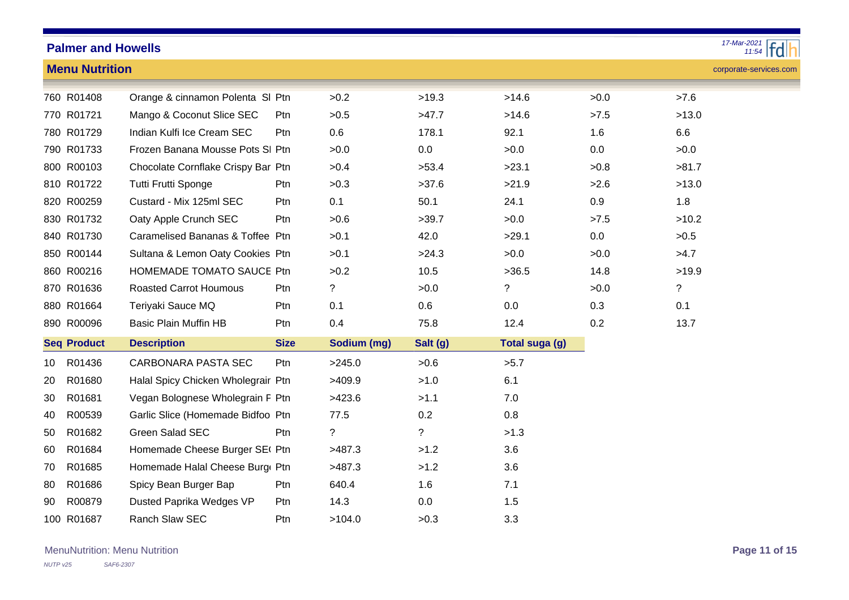|                                                 | $\frac{17 - \text{Mar} - 2021}{11.54}$<br><b>Palmer and Howells</b> |                                    |             |             |             |                |         |             |
|-------------------------------------------------|---------------------------------------------------------------------|------------------------------------|-------------|-------------|-------------|----------------|---------|-------------|
| <b>Menu Nutrition</b><br>corporate-services.com |                                                                     |                                    |             |             |             |                |         |             |
|                                                 | 760 R01408                                                          | Orange & cinnamon Polenta SI Ptn   |             | >0.2        | >19.3       | >14.6          | >0.0    | >7.6        |
|                                                 | 770 R01721                                                          | Mango & Coconut Slice SEC          | Ptn         | >0.5        | >47.7       | >14.6          | >7.5    | >13.0       |
|                                                 | 780 R01729                                                          | Indian Kulfi Ice Cream SEC         | Ptn         | 0.6         | 178.1       | 92.1           | 1.6     | 6.6         |
|                                                 | 790 R01733                                                          | Frozen Banana Mousse Pots SI Ptn   |             | >0.0        | 0.0         | >0.0           | 0.0     | >0.0        |
|                                                 | 800 R00103                                                          | Chocolate Cornflake Crispy Bar Ptn |             | >0.4        | >53.4       | >23.1          | >0.8    | >81.7       |
|                                                 | 810 R01722                                                          | Tutti Frutti Sponge                | Ptn         | >0.3        | >37.6       | >21.9          | >2.6    | >13.0       |
|                                                 | 820 R00259                                                          | Custard - Mix 125ml SEC            | Ptn         | 0.1         | 50.1        | 24.1           | 0.9     | 1.8         |
|                                                 | 830 R01732                                                          | Oaty Apple Crunch SEC              | Ptn         | >0.6        | >39.7       | >0.0           | >7.5    | >10.2       |
|                                                 | 840 R01730                                                          | Caramelised Bananas & Toffee Ptn   |             | >0.1        | 42.0        | >29.1          | $0.0\,$ | >0.5        |
|                                                 | 850 R00144                                                          | Sultana & Lemon Oaty Cookies Ptn   |             | >0.1        | >24.3       | >0.0           | >0.0    | >4.7        |
|                                                 | 860 R00216                                                          | HOMEMADE TOMATO SAUCE Ptn          |             | >0.2        | 10.5        | >36.5          | 14.8    | >19.9       |
|                                                 | 870 R01636                                                          | <b>Roasted Carrot Houmous</b>      | Ptn         | ?           | >0.0        | ?              | >0.0    | $\tilde{?}$ |
|                                                 | 880 R01664                                                          | Teriyaki Sauce MQ                  | Ptn         | 0.1         | 0.6         | 0.0            | 0.3     | 0.1         |
|                                                 | 890 R00096                                                          | <b>Basic Plain Muffin HB</b>       | Ptn         | 0.4         | 75.8        | 12.4           | 0.2     | 13.7        |
|                                                 | <b>Seq Product</b>                                                  | <b>Description</b>                 | <b>Size</b> | Sodium (mg) | Salt (g)    | Total suga (g) |         |             |
| 10                                              | R01436                                                              | CARBONARA PASTA SEC                | Ptn         | >245.0      | >0.6        | >5.7           |         |             |
| 20                                              | R01680                                                              | Halal Spicy Chicken Wholegrair Ptn |             | >409.9      | >1.0        | 6.1            |         |             |
| 30                                              | R01681                                                              | Vegan Bolognese Wholegrain F Ptn   |             | >423.6      | >1.1        | 7.0            |         |             |
| 40                                              | R00539                                                              | Garlic Slice (Homemade Bidfoo Ptn  |             | 77.5        | 0.2         | 0.8            |         |             |
| 50                                              | R01682                                                              | Green Salad SEC                    | Ptn         | $\ddot{?}$  | $\tilde{?}$ | >1.3           |         |             |
| 60                                              | R01684                                                              | Homemade Cheese Burger SE( Ptn     |             | >487.3      | >1.2        | 3.6            |         |             |
| 70                                              | R01685                                                              | Homemade Halal Cheese Burg Ptn     |             | >487.3      | >1.2        | 3.6            |         |             |
| 80                                              | R01686                                                              | Spicy Bean Burger Bap              | Ptn         | 640.4       | 1.6         | 7.1            |         |             |
| 90                                              | R00879                                                              | Dusted Paprika Wedges VP           | Ptn         | 14.3        | 0.0         | 1.5            |         |             |
|                                                 | 100 R01687                                                          | Ranch Slaw SEC                     | Ptn         | >104.0      | >0.3        | 3.3            |         |             |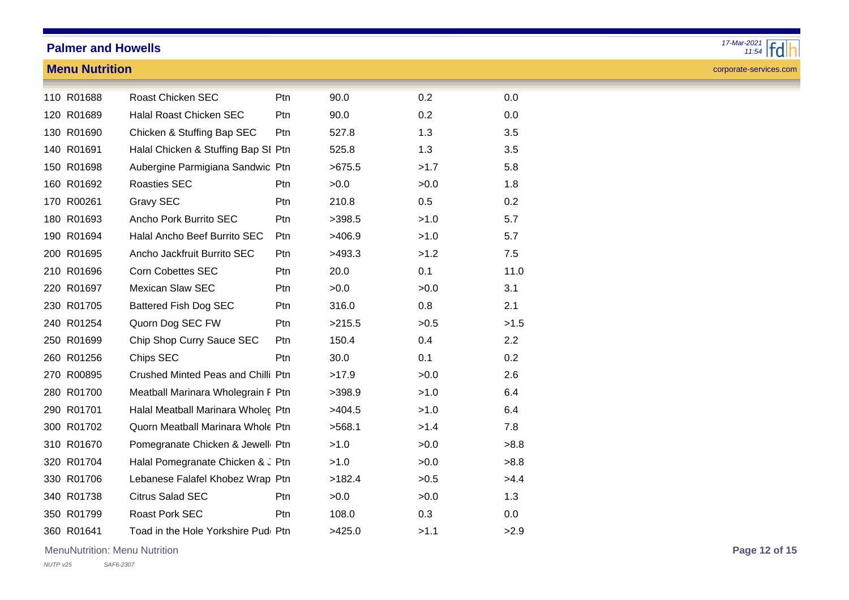### **Menu Nutrition**



corporate-services.com

| 110 R01688 | <b>Roast Chicken SEC</b>            | Ptn        | 90.0   | 0.2  | 0.0  |
|------------|-------------------------------------|------------|--------|------|------|
| 120 R01689 | <b>Halal Roast Chicken SEC</b>      | Ptn        | 90.0   | 0.2  | 0.0  |
| 130 R01690 | Chicken & Stuffing Bap SEC          | Ptn        | 527.8  | 1.3  | 3.5  |
| 140 R01691 | Halal Chicken & Stuffing Bap SI Ptn |            | 525.8  | 1.3  | 3.5  |
| 150 R01698 | Aubergine Parmigiana Sandwic Ptn    |            | >675.5 | >1.7 | 5.8  |
| 160 R01692 | <b>Roasties SEC</b>                 | <b>Ptn</b> | >0.0   | >0.0 | 1.8  |
| 170 R00261 | <b>Gravy SEC</b>                    | Ptn        | 210.8  | 0.5  | 0.2  |
| 180 R01693 | Ancho Pork Burrito SEC              | Ptn        | >398.5 | >1.0 | 5.7  |
| 190 R01694 | Halal Ancho Beef Burrito SEC        | Ptn        | >406.9 | >1.0 | 5.7  |
| 200 R01695 | Ancho Jackfruit Burrito SEC         | Ptn        | >493.3 | >1.2 | 7.5  |
| 210 R01696 | <b>Corn Cobettes SEC</b>            | Ptn        | 20.0   | 0.1  | 11.0 |
| 220 R01697 | <b>Mexican Slaw SEC</b>             | Ptn        | >0.0   | >0.0 | 3.1  |
| 230 R01705 | <b>Battered Fish Dog SEC</b>        | Ptn        | 316.0  | 0.8  | 2.1  |
| 240 R01254 | Quorn Dog SEC FW                    | Ptn        | >215.5 | >0.5 | >1.5 |
| 250 R01699 | Chip Shop Curry Sauce SEC           | Ptn        | 150.4  | 0.4  | 2.2  |
| 260 R01256 | Chips SEC                           | Ptn        | 30.0   | 0.1  | 0.2  |
| 270 R00895 | Crushed Minted Peas and Chilli Ptn  |            | >17.9  | >0.0 | 2.6  |
| 280 R01700 | Meatball Marinara Wholegrain F Ptn  |            | >398.9 | >1.0 | 6.4  |
| 290 R01701 | Halal Meatball Marinara Wholec Ptn  |            | >404.5 | >1.0 | 6.4  |
| 300 R01702 | Quorn Meatball Marinara Whole Ptn   |            | >568.1 | >1.4 | 7.8  |
| 310 R01670 | Pomegranate Chicken & Jewell Ptn    |            | >1.0   | >0.0 | >8.8 |
| 320 R01704 | Halal Pomegranate Chicken & J Ptn   |            | >1.0   | >0.0 | >8.8 |
| 330 R01706 | Lebanese Falafel Khobez Wrap Ptn    |            | >182.4 | >0.5 | >4.4 |
| 340 R01738 | <b>Citrus Salad SEC</b>             | Ptn        | >0.0   | >0.0 | 1.3  |
| 350 R01799 | <b>Roast Pork SEC</b>               | <b>Ptn</b> | 108.0  | 0.3  | 0.0  |
| 360 R01641 | Toad in the Hole Yorkshire Pudi Ptn |            | >425.0 | >1.1 | >2.9 |

MenuNutrition: Menu Nutrition **Page 12 of 15**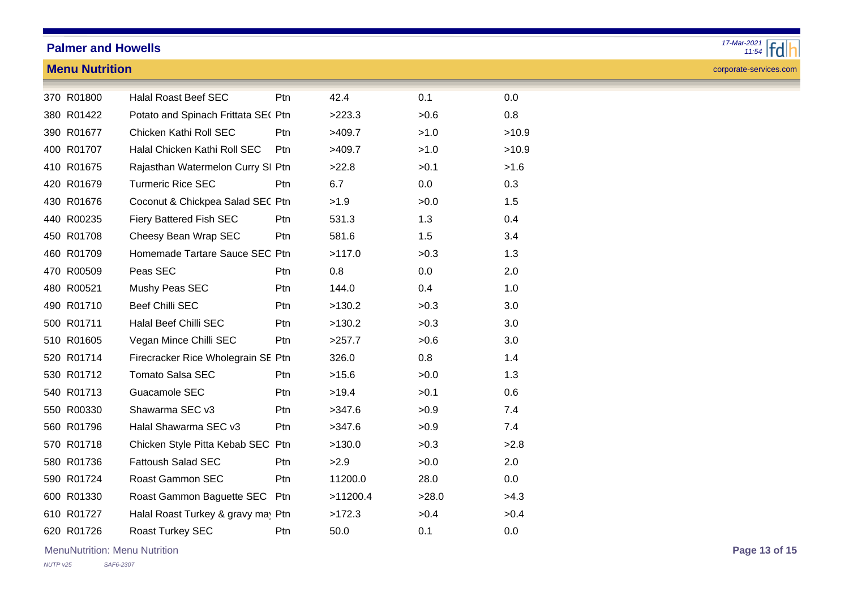### **Menu Nutrition**



corporate-services.com

|  | 370 R01800 | <b>Halal Roast Beef SEC</b>         | Ptn        | 42.4     | 0.1   | 0.0   |
|--|------------|-------------------------------------|------------|----------|-------|-------|
|  | 380 R01422 | Potato and Spinach Frittata SE( Ptn |            | >223.3   | >0.6  | 0.8   |
|  | 390 R01677 | Chicken Kathi Roll SEC              | Ptn        | >409.7   | >1.0  | >10.9 |
|  | 400 R01707 | Halal Chicken Kathi Roll SEC        | Ptn        | >409.7   | >1.0  | >10.9 |
|  | 410 R01675 | Rajasthan Watermelon Curry SI Ptn   |            | >22.8    | >0.1  | >1.6  |
|  | 420 R01679 | <b>Turmeric Rice SEC</b>            | Ptn        | 6.7      | 0.0   | 0.3   |
|  | 430 R01676 | Coconut & Chickpea Salad SEC Ptn    |            | >1.9     | >0.0  | 1.5   |
|  | 440 R00235 | Fiery Battered Fish SEC             | Ptn        | 531.3    | 1.3   | 0.4   |
|  | 450 R01708 | Cheesy Bean Wrap SEC                | Ptn        | 581.6    | 1.5   | 3.4   |
|  | 460 R01709 | Homemade Tartare Sauce SEC Ptn      |            | >117.0   | >0.3  | 1.3   |
|  | 470 R00509 | Peas SEC                            | <b>Ptn</b> | 0.8      | 0.0   | 2.0   |
|  | 480 R00521 | Mushy Peas SEC                      | Ptn        | 144.0    | 0.4   | 1.0   |
|  | 490 R01710 | <b>Beef Chilli SEC</b>              | Ptn        | >130.2   | >0.3  | 3.0   |
|  | 500 R01711 | Halal Beef Chilli SEC               | Ptn        | >130.2   | >0.3  | 3.0   |
|  | 510 R01605 | Vegan Mince Chilli SEC              | Ptn        | >257.7   | >0.6  | 3.0   |
|  | 520 R01714 | Firecracker Rice Wholegrain SE Ptn  |            | 326.0    | 0.8   | 1.4   |
|  | 530 R01712 | <b>Tomato Salsa SEC</b>             | <b>Ptn</b> | >15.6    | >0.0  | 1.3   |
|  | 540 R01713 | Guacamole SEC                       | <b>Ptn</b> | >19.4    | >0.1  | 0.6   |
|  | 550 R00330 | Shawarma SEC v3                     | Ptn        | >347.6   | >0.9  | 7.4   |
|  | 560 R01796 | Halal Shawarma SEC v3               | Ptn        | >347.6   | >0.9  | 7.4   |
|  | 570 R01718 | Chicken Style Pitta Kebab SEC Ptn   |            | >130.0   | >0.3  | >2.8  |
|  | 580 R01736 | <b>Fattoush Salad SEC</b>           | Ptn        | >2.9     | >0.0  | 2.0   |
|  | 590 R01724 | <b>Roast Gammon SEC</b>             | <b>Ptn</b> | 11200.0  | 28.0  | 0.0   |
|  | 600 R01330 | Roast Gammon Baguette SEC Ptn       |            | >11200.4 | >28.0 | >4.3  |
|  | 610 R01727 | Halal Roast Turkey & gravy may Ptn  |            | >172.3   | >0.4  | >0.4  |
|  | 620 R01726 | <b>Roast Turkey SEC</b>             | Ptn        | 50.0     | 0.1   | 0.0   |

MenuNutrition: Menu Nutrition **Page 13 of 15**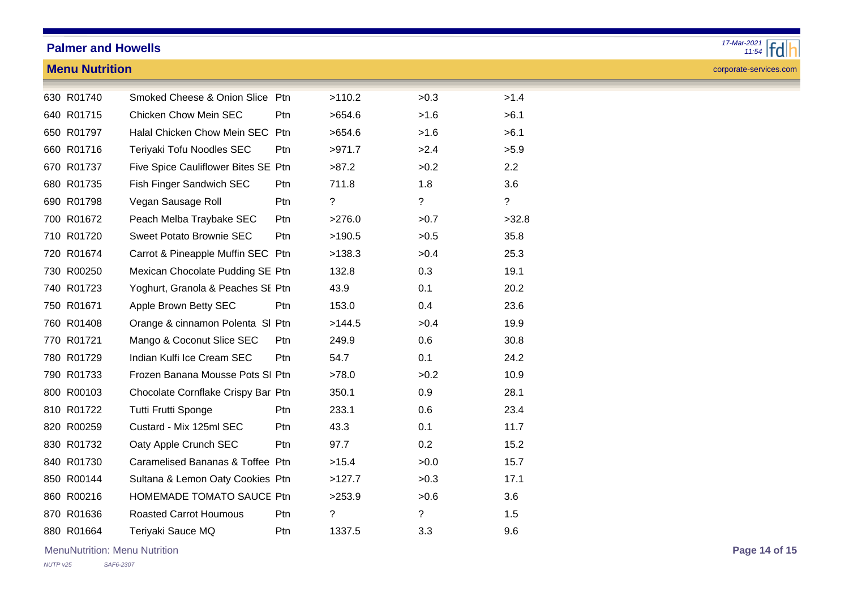### **Menu Nutrition**



corporate-services.com

| 630 R01740 | Smoked Cheese & Onion Slice Ptn     |                 | >110.2         | >0.3           | >1.4           |
|------------|-------------------------------------|-----------------|----------------|----------------|----------------|
| 640 R01715 | <b>Chicken Chow Mein SEC</b>        | Ptn             | >654.6         | >1.6           | >6.1           |
| 650 R01797 | Halal Chicken Chow Mein SEC         | Ptn             | >654.6         | >1.6           | >6.1           |
| 660 R01716 | Teriyaki Tofu Noodles SEC           | <b>Ptn</b>      | >971.7         | >2.4           | >5.9           |
| 670 R01737 | Five Spice Cauliflower Bites SE Ptn |                 | >87.2          | >0.2           | 2.2            |
| 680 R01735 | Fish Finger Sandwich SEC            | Ptn             | 711.8          | 1.8            | 3.6            |
| 690 R01798 | Vegan Sausage Roll                  | Ptn             | $\overline{?}$ | $\overline{?}$ | $\overline{?}$ |
| 700 R01672 | Peach Melba Traybake SEC            | Ptn             | >276.0         | >0.7           | >32.8          |
| 710 R01720 | <b>Sweet Potato Brownie SEC</b>     | Ptn             | >190.5         | >0.5           | 35.8           |
| 720 R01674 | Carrot & Pineapple Muffin SEC Ptn   |                 | >138.3         | >0.4           | 25.3           |
| 730 R00250 | Mexican Chocolate Pudding SE Ptn    |                 | 132.8          | 0.3            | 19.1           |
| 740 R01723 | Yoghurt, Granola & Peaches SE Ptn   |                 | 43.9           | 0.1            | 20.2           |
| 750 R01671 | Apple Brown Betty SEC               | Ptn             | 153.0          | 0.4            | 23.6           |
| 760 R01408 | Orange & cinnamon Polenta SI Ptn    |                 | >144.5         | >0.4           | 19.9           |
| 770 R01721 | Mango & Coconut Slice SEC           | P <sub>tn</sub> | 249.9          | 0.6            | 30.8           |
| 780 R01729 | Indian Kulfi Ice Cream SEC          | Ptn             | 54.7           | 0.1            | 24.2           |
| 790 R01733 | Frozen Banana Mousse Pots SI Ptn    |                 | >78.0          | >0.2           | 10.9           |
| 800 R00103 | Chocolate Cornflake Crispy Bar Ptn  |                 | 350.1          | 0.9            | 28.1           |
| 810 R01722 | Tutti Frutti Sponge                 | P <sub>tn</sub> | 233.1          | 0.6            | 23.4           |
| 820 R00259 | Custard - Mix 125ml SEC             | <b>Ptn</b>      | 43.3           | 0.1            | 11.7           |
| 830 R01732 | Oaty Apple Crunch SEC               | Ptn             | 97.7           | 0.2            | 15.2           |
| 840 R01730 | Caramelised Bananas & Toffee Ptn    |                 | >15.4          | >0.0           | 15.7           |
| 850 R00144 | Sultana & Lemon Oaty Cookies Ptn    |                 | >127.7         | >0.3           | 17.1           |
| 860 R00216 | <b>HOMEMADE TOMATO SAUCE Ptn</b>    |                 | >253.9         | >0.6           | 3.6            |
| 870 R01636 | <b>Roasted Carrot Houmous</b>       | Ptn.            | $\overline{?}$ | ?              | 1.5            |
| 880 R01664 | Teriyaki Sauce MQ                   | Ptn             | 1337.5         | 3.3            | 9.6            |

MenuNutrition: Menu Nutrition **Page 14 of 15**